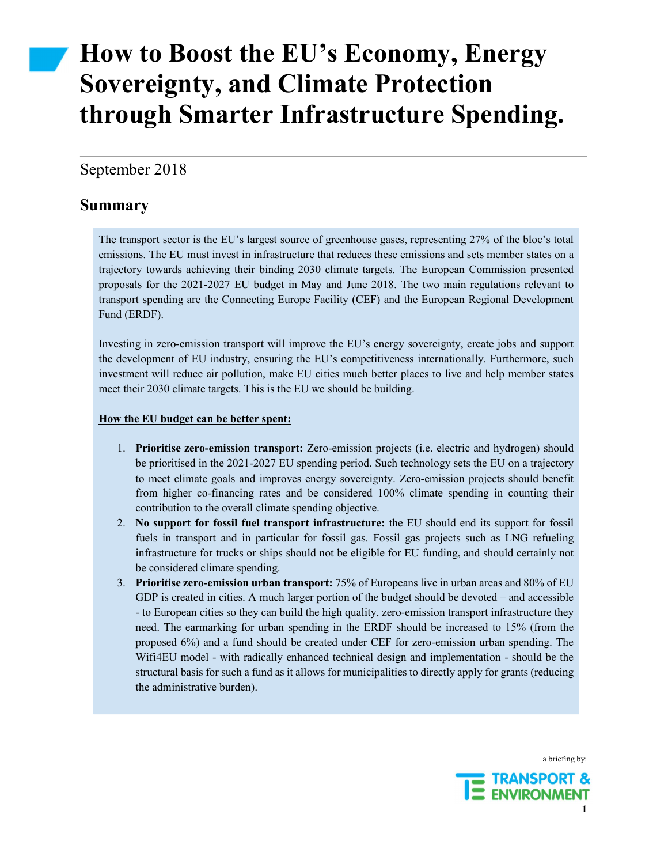# How to Boost the EU's Economy, Energy Sovereignty, and Climate Protection through Smarter Infrastructure Spending.

## September 2018

## Summary

The transport sector is the EU's largest source of greenhouse gases, representing 27% of the bloc's total emissions. The EU must invest in infrastructure that reduces these emissions and sets member states on a trajectory towards achieving their binding 2030 climate targets. The European Commission presented proposals for the 2021-2027 EU budget in May and June 2018. The two main regulations relevant to transport spending are the Connecting Europe Facility (CEF) and the European Regional Development Fund (ERDF).

Investing in zero-emission transport will improve the EU's energy sovereignty, create jobs and support the development of EU industry, ensuring the EU's competitiveness internationally. Furthermore, such investment will reduce air pollution, make EU cities much better places to live and help member states meet their 2030 climate targets. This is the EU we should be building.

#### How the EU budget can be better spent:

- 1. Prioritise zero-emission transport: Zero-emission projects (i.e. electric and hydrogen) should be prioritised in the 2021-2027 EU spending period. Such technology sets the EU on a trajectory to meet climate goals and improves energy sovereignty. Zero-emission projects should benefit from higher co-financing rates and be considered 100% climate spending in counting their contribution to the overall climate spending objective.
- 2. No support for fossil fuel transport infrastructure: the EU should end its support for fossil fuels in transport and in particular for fossil gas. Fossil gas projects such as LNG refueling infrastructure for trucks or ships should not be eligible for EU funding, and should certainly not be considered climate spending.
- 3. Prioritise zero-emission urban transport: 75% of Europeans live in urban areas and 80% of EU GDP is created in cities. A much larger portion of the budget should be devoted – and accessible - to European cities so they can build the high quality, zero-emission transport infrastructure they need. The earmarking for urban spending in the ERDF should be increased to 15% (from the proposed 6%) and a fund should be created under CEF for zero-emission urban spending. The Wifi4EU model - with radically enhanced technical design and implementation - should be the structural basis for such a fund as it allows for municipalities to directly apply for grants (reducing the administrative burden).



a briefing by: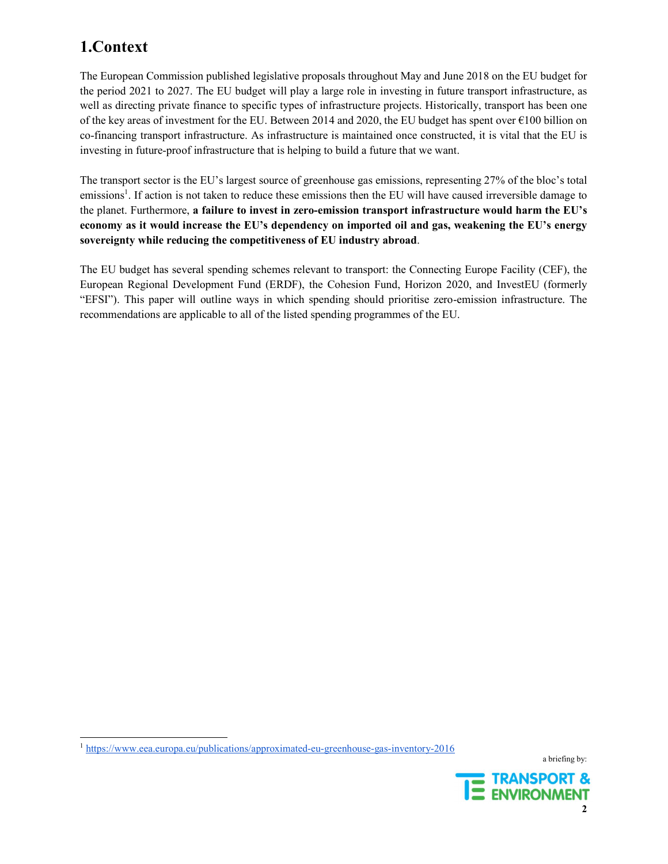# 1.Context

The European Commission published legislative proposals throughout May and June 2018 on the EU budget for the period 2021 to 2027. The EU budget will play a large role in investing in future transport infrastructure, as well as directing private finance to specific types of infrastructure projects. Historically, transport has been one of the key areas of investment for the EU. Between 2014 and 2020, the EU budget has spent over €100 billion on co-financing transport infrastructure. As infrastructure is maintained once constructed, it is vital that the EU is investing in future-proof infrastructure that is helping to build a future that we want.

The transport sector is the EU's largest source of greenhouse gas emissions, representing 27% of the bloc's total emissions<sup>1</sup>. If action is not taken to reduce these emissions then the EU will have caused irreversible damage to the planet. Furthermore, a failure to invest in zero-emission transport infrastructure would harm the EU's economy as it would increase the EU's dependency on imported oil and gas, weakening the EU's energy sovereignty while reducing the competitiveness of EU industry abroad.<br>The EU budget has several spending schemes relevant to transport: the Connecting Europe Facility (CEF), the

European Regional Development Fund (ERDF), the Cohesion Fund, Horizon 2020, and InvestEU (formerly "EFSI"). This paper will outline ways in which spending should prioritise zero-emission infrastructure. The recommendations are applicable to all of the listed spending programmes of the EU.

 <sup>1</sup> https://www.eea.europa.eu/publications/approximated-eu-greenhouse-gas-inventory-2016



a briefing by: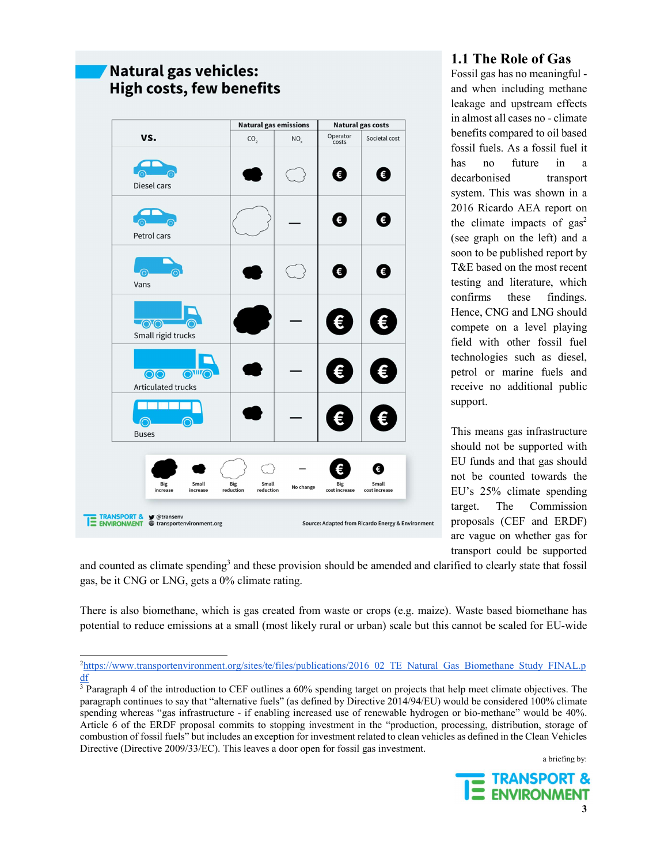

#### 1.1 The Role of Gas

Fossil gas has no meaningful and when including methane leakage and upstream effects in almost all cases no - climate benefits compared to oil based fossil fuels. As a fossil fuel it has no future in a decarbonised transport system. This was shown in a 2016 Ricardo AEA report on the climate impacts of  $\text{gas}^2$ (see graph on the left) and a soon to be published report by T&E based on the most recent testing and literature, which confirms these findings. Hence, CNG and LNG should compete on a level playing field with other fossil fuel technologies such as diesel, petrol or marine fuels and receive no additional public support.

This means gas infrastructure should not be supported with EU funds and that gas should not be counted towards the EU's 25% climate spending target. The Commission proposals (CEF and ERDF) are vague on whether gas for transport could be supported

and counted as climate spending<sup>3</sup> and these provision should be amended and clarified to clearly state that fossil gas, be it CNG or LNG, gets a 0% climate rating.

There is also biomethane, which is gas created from waste or crops (e.g. maize). Waste based biomethane has potential to reduce emissions at a small (most likely rural or urban) scale but this cannot be scaled for EU-wide

a briefing by:



<sup>&</sup>lt;sup>2</sup>https://www.transportenvironment.org/sites/te/files/publications/2016\_02\_TE\_Natural\_Gas\_Biomethane\_Study\_FINAL.p df<br><sup>3</sup> Paragraph 4 of the introduction to CEF outlines a 60% spending target on projects that help meet climate objectives. The

paragraph continues to say that "alternative fuels" (as defined by Directive 2014/94/EU) would be considered 100% climate spending whereas "gas infrastructure - if enabling increased use of renewable hydrogen or bio-methane" would be 40%. Article 6 of the ERDF proposal commits to stopping investment in the "production, processing, distribution, storage of combustion of fossil fuels" but includes an exception for investment related to clean vehicles as defined in the Clean Vehicles Directive (Directive 2009/33/EC). This leaves a door open for fossil gas investment.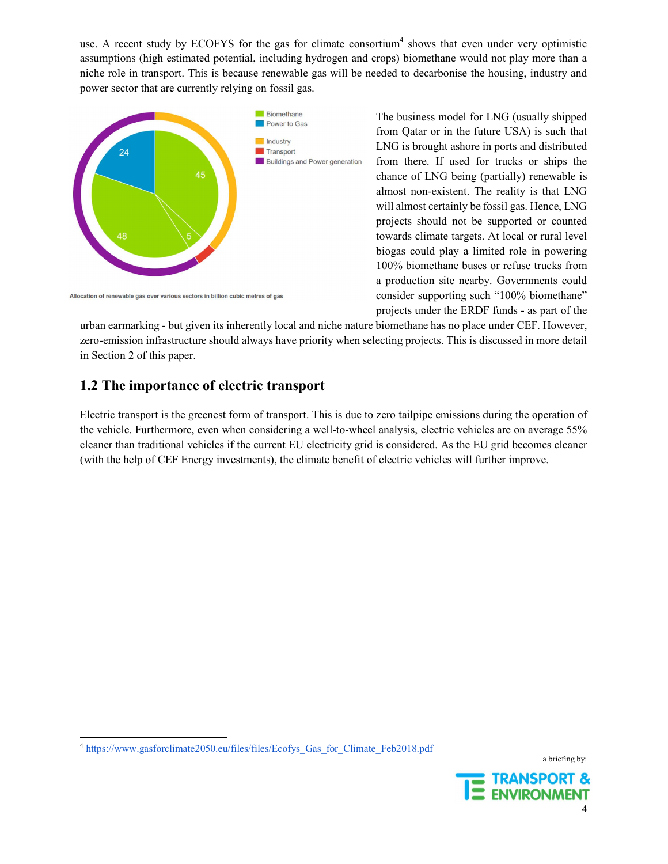use. A recent study by ECOFYS for the gas for climate consortium<sup>4</sup> shows that even under very optimistic assumptions (high estimated potential, including hydrogen and crops) biomethane would not play more than a niche role in transport. This is because renewable gas will be needed to decarbonise the housing, industry and power sector that are currently relying on fossil gas.



The business model for LNG (usually shipped from Qatar or in the future USA) is such that LNG is brought ashore in ports and distributed from there. If used for trucks or ships the chance of LNG being (partially) renewable is almost non-existent. The reality is that LNG will almost certainly be fossil gas. Hence, LNG projects should not be supported or counted towards climate targets. At local or rural level biogas could play a limited role in powering 100% biomethane buses or refuse trucks from a production site nearby. Governments could consider supporting such "100% biomethane" projects under the ERDF funds - as part of the

urban earmarking - but given its inherently local and niche nature biomethane has no place under CEF. However, zero-emission infrastructure should always have priority when selecting projects. This is discussed in more detail in Section 2 of this paper.

#### 1.2 The importance of electric transport

Electric transport is the greenest form of transport. This is due to zero tailpipe emissions during the operation of the vehicle. Furthermore, even when considering a well-to-wheel analysis, electric vehicles are on average 55% cleaner than traditional vehicles if the current EU electricity grid is considered. As the EU grid becomes cleaner (with the help of CEF Energy investments), the climate benefit of electric vehicles will further improve.

<sup>&</sup>lt;sup>4</sup> https://www.gasforclimate2050.eu/files/files/Ecofys Gas for Climate Feb2018.pdf

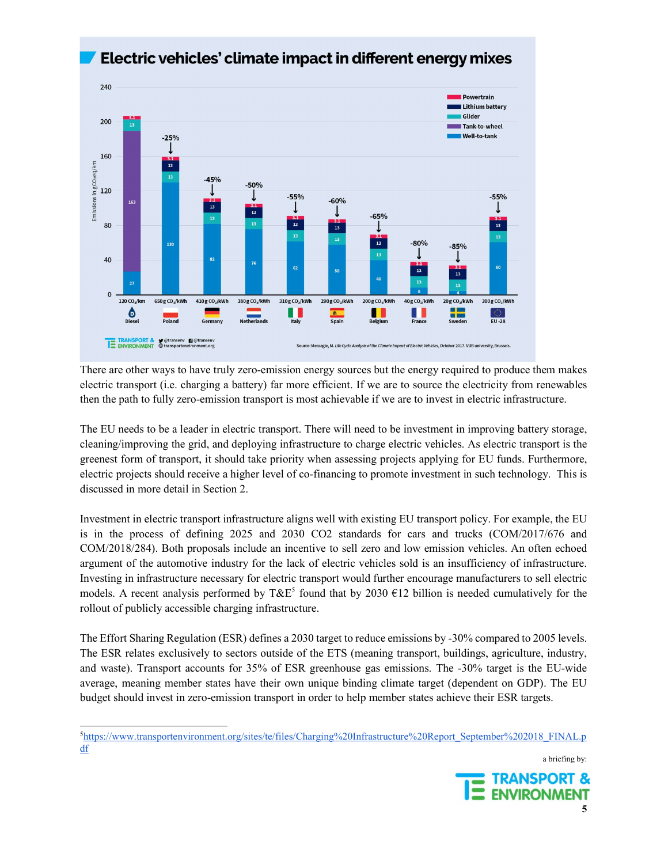

There are other ways to have truly zero-emission energy sources but the energy required to produce them makes electric transport (i.e. charging a battery) far more efficient. If we are to source the electricity from renewables then the path to fully zero-emission transport is most achievable if we are to invest in electric infrastructure.

The EU needs to be a leader in electric transport. There will need to be investment in improving battery storage, cleaning/improving the grid, and deploying infrastructure to charge electric vehicles. As electric transport is the greenest form of transport, it should take priority when assessing projects applying for EU funds. Furthermore, electric projects should receive a higher level of co-financing to promote investment in such technology. This is discussed in more detail in Section 2.

Investment in electric transport infrastructure aligns well with existing EU transport policy. For example, the EU is in the process of defining 2025 and 2030 CO2 standards for cars and trucks (COM/2017/676 and COM/2018/284). Both proposals include an incentive to sell zero and low emission vehicles. An often echoed argument of the automotive industry for the lack of electric vehicles sold is an insufficiency of infrastructure. Investing in infrastructure necessary for electric transport would further encourage manufacturers to sell electric models. A recent analysis performed by  $TAE^5$  found that by 2030  $\epsilon$ 12 billion is needed cumulatively for the rollout of publicly accessible charging infrastructure.

The Effort Sharing Regulation (ESR) defines a 2030 target to reduce emissions by -30% compared to 2005 levels. The ESR relates exclusively to sectors outside of the ETS (meaning transport, buildings, agriculture, industry, and waste). Transport accounts for 35% of ESR greenhouse gas emissions. The -30% target is the EU-wide average, meaning member states have their own unique binding climate target (dependent on GDP). The EU budget should invest in zero-emission transport in order to help member states achieve their ESR targets.

a briefing by: 5 https://www.transportenvironment.org/sites/te/files/Charging%20Infrastructure%20Report\_September%202018\_FINAL.p df

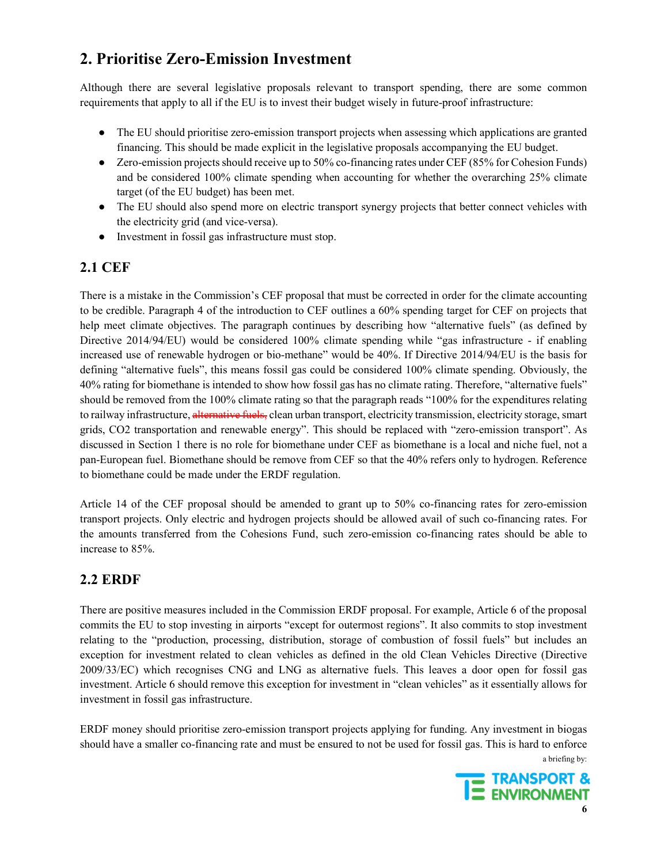# 2. Prioritise Zero-Emission Investment

Although there are several legislative proposals relevant to transport spending, there are some common requirements that apply to all if the EU is to invest their budget wisely in future-proof infrastructure:

- The EU should prioritise zero-emission transport projects when assessing which applications are granted financing. This should be made explicit in the legislative proposals accompanying the EU budget.
- Zero-emission projects should receive up to 50% co-financing rates under CEF (85% for Cohesion Funds) and be considered 100% climate spending when accounting for whether the overarching 25% climate target (of the EU budget) has been met.
- The EU should also spend more on electric transport synergy projects that better connect vehicles with the electricity grid (and vice-versa).
- Investment in fossil gas infrastructure must stop.

#### 2.1 CEF

There is a mistake in the Commission's CEF proposal that must be corrected in order for the climate accounting to be credible. Paragraph 4 of the introduction to CEF outlines a 60% spending target for CEF on projects that help meet climate objectives. The paragraph continues by describing how "alternative fuels" (as defined by Directive 2014/94/EU) would be considered 100% climate spending while "gas infrastructure - if enabling increased use of renewable hydrogen or bio-methane" would be 40%. If Directive 2014/94/EU is the basis for defining "alternative fuels", this means fossil gas could be considered 100% climate spending. Obviously, the 40% rating for biomethane is intended to show how fossil gas has no climate rating. Therefore, "alternative fuels" should be removed from the 100% climate rating so that the paragraph reads "100% for the expenditures relating to railway infrastructure, alternative fuels, clean urban transport, electricity transmission, electricity storage, smart grids, CO2 transportation and renewable energy". This should be replaced with "zero-emission transport". As discussed in Section 1 there is no role for biomethane under CEF as biomethane is a local and niche fuel, not a pan-European fuel. Biomethane should be remove from CEF so that the 40% refers only to hydrogen. Reference to biomethane could be made under the ERDF regulation.

Article 14 of the CEF proposal should be amended to grant up to 50% co-financing rates for zero-emission transport projects. Only electric and hydrogen projects should be allowed avail of such co-financing rates. For the amounts transferred from the Cohesions Fund, such zero-emission co-financing rates should be able to increase to 85%.

#### 2.2 ERDF

There are positive measures included in the Commission ERDF proposal. For example, Article 6 of the proposal commits the EU to stop investing in airports "except for outermost regions". It also commits to stop investment relating to the "production, processing, distribution, storage of combustion of fossil fuels" but includes an exception for investment related to clean vehicles as defined in the old Clean Vehicles Directive (Directive 2009/33/EC) which recognises CNG and LNG as alternative fuels. This leaves a door open for fossil gas investment. Article 6 should remove this exception for investment in "clean vehicles" as it essentially allows for investment in fossil gas infrastructure.

a briefing by: ERDF money should prioritise zero-emission transport projects applying for funding. Any investment in biogas should have a smaller co-financing rate and must be ensured to not be used for fossil gas. This is hard to enforce

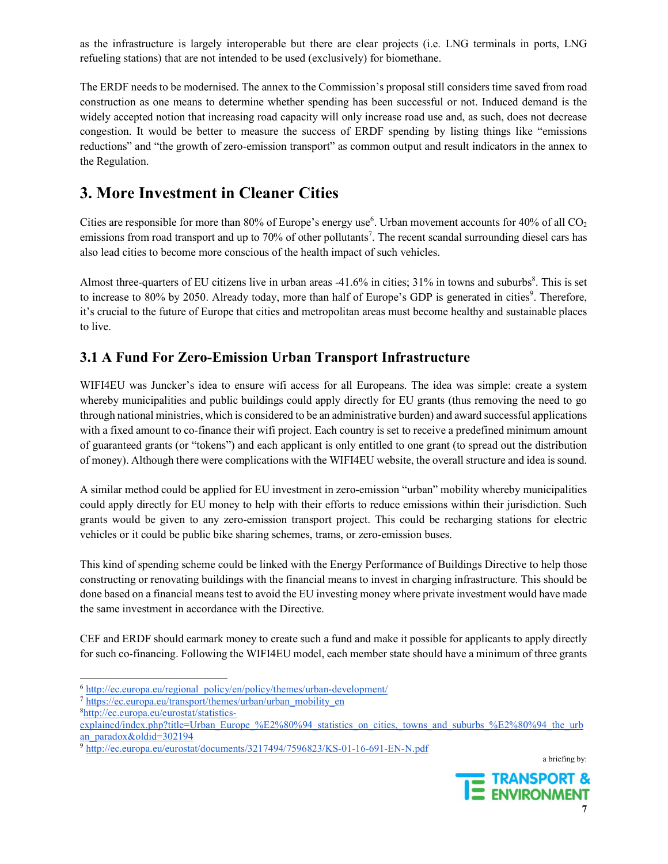as the infrastructure is largely interoperable but there are clear projects (i.e. LNG terminals in ports, LNG refueling stations) that are not intended to be used (exclusively) for biomethane.

The ERDF needs to be modernised. The annex to the Commission's proposal still considers time saved from road construction as one means to determine whether spending has been successful or not. Induced demand is the widely accepted notion that increasing road capacity will only increase road use and, as such, does not decrease congestion. It would be better to measure the success of ERDF spending by listing things like "emissions reductions" and "the growth of zero-emission transport" as common output and result indicators in the annex to the Regulation.

## 3. More Investment in Cleaner Cities

Cities are responsible for more than 80% of Europe's energy use<sup>6</sup>. Urban movement accounts for 40% of all CO<sub>2</sub> emissions from road transport and up to 70% of other pollutants<sup>7</sup>. The recent scandal surrounding diesel cars has also lead cities to become more conscious of the health impact of such vehicles.

Almost three-quarters of EU citizens live in urban areas  $-41.6\%$  in cities; 31% in towns and suburbs<sup>8</sup>. This is set to increase to 80% by 2050. Already today, more than half of Europe's GDP is generated in cities<sup>9</sup>. Therefore, it's crucial to the future of Europe that cities and metropolitan areas must become healthy and sustainable places to live.

#### 3.1 A Fund For Zero-Emission Urban Transport Infrastructure

WIFI4EU was Juncker's idea to ensure wifi access for all Europeans. The idea was simple: create a system whereby municipalities and public buildings could apply directly for EU grants (thus removing the need to go through national ministries, which is considered to be an administrative burden) and award successful applications with a fixed amount to co-finance their wifi project. Each country is set to receive a predefined minimum amount of guaranteed grants (or "tokens") and each applicant is only entitled to one grant (to spread out the distribution of money). Although there were complications with the WIFI4EU website, the overall structure and idea is sound.

A similar method could be applied for EU investment in zero-emission "urban" mobility whereby municipalities could apply directly for EU money to help with their efforts to reduce emissions within their jurisdiction. Such grants would be given to any zero-emission transport project. This could be recharging stations for electric vehicles or it could be public bike sharing schemes, trams, or zero-emission buses.

This kind of spending scheme could be linked with the Energy Performance of Buildings Directive to help those constructing or renovating buildings with the financial means to invest in charging infrastructure. This should be done based on a financial means test to avoid the EU investing money where private investment would have made the same investment in accordance with the Directive.

CEF and ERDF should earmark money to create such a fund and make it possible for applicants to apply directly for such co-financing. Following the WIFI4EU model, each member state should have a minimum of three grants



 $\frac{6 \text{ http://eceurona.eu/requonal} \text{ policy/en/no}}{6 \text{ http://eceurona.eu/requonal} \text{ policy/en/no}}$  $h_{\text{http://ec.europa.eu/regional-policy/en/policy/themes/urban-development/7}$ <br>https://ec.europa.eu/transport/themes/urban/urban\_mobility\_en

<sup>&</sup>lt;sup>7</sup> https://ec.europa.eu/transport/themes/urban/urban\_mobility\_en

http://ec.europa.eu/eurostat/statistics-

explained/index.php?title=Urban\_Europe\_%E2%80%94\_statistics\_on\_cities,\_towns\_and\_suburbs\_%E2%80%94\_the\_urb<br>an\_paradox&oldid=302194 an\_paradox&oldid=302194<br><sup>9</sup> http://ec.europa.eu/eurostat/documents/3217494/7596823/KS-01-16-691-EN-N.pdf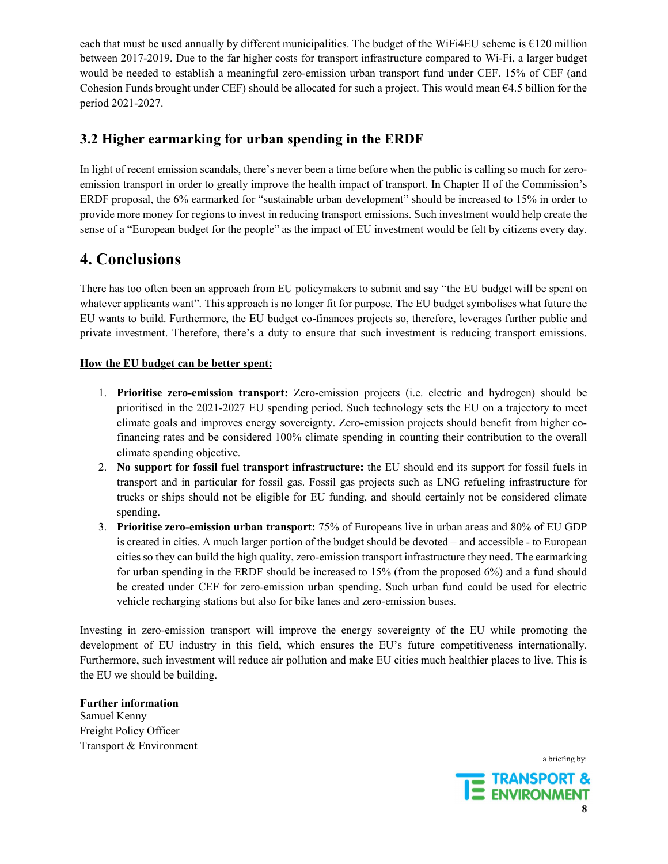each that must be used annually by different municipalities. The budget of the WiFi4EU scheme is €120 million between 2017-2019. Due to the far higher costs for transport infrastructure compared to Wi-Fi, a larger budget would be needed to establish a meaningful zero-emission urban transport fund under CEF. 15% of CEF (and Cohesion Funds brought under CEF) should be allocated for such a project. This would mean  $64.5$  billion for the period 2021-2027.

#### 3.2 Higher earmarking for urban spending in the ERDF

In light of recent emission scandals, there's never been a time before when the public is calling so much for zeroemission transport in order to greatly improve the health impact of transport. In Chapter II of the Commission's ERDF proposal, the 6% earmarked for "sustainable urban development" should be increased to 15% in order to provide more money for regions to invest in reducing transport emissions. Such investment would help create the sense of a "European budget for the people" as the impact of EU investment would be felt by citizens every day.

## 4. Conclusions

There has too often been an approach from EU policymakers to submit and say "the EU budget will be spent on whatever applicants want". This approach is no longer fit for purpose. The EU budget symbolises what future the EU wants to build. Furthermore, the EU budget co-finances projects so, therefore, leverages further public and private investment. Therefore, there's a duty to ensure that such investment is reducing transport emissions.

#### How the EU budget can be better spent:

- 1. Prioritise zero-emission transport: Zero-emission projects (i.e. electric and hydrogen) should be prioritised in the 2021-2027 EU spending period. Such technology sets the EU on a trajectory to meet climate goals and improves energy sovereignty. Zero-emission projects should benefit from higher cofinancing rates and be considered 100% climate spending in counting their contribution to the overall climate spending objective.
- 2. No support for fossil fuel transport infrastructure: the EU should end its support for fossil fuels in transport and in particular for fossil gas. Fossil gas projects such as LNG refueling infrastructure for trucks or ships should not be eligible for EU funding, and should certainly not be considered climate spending.
- 3. Prioritise zero-emission urban transport: 75% of Europeans live in urban areas and 80% of EU GDP is created in cities. A much larger portion of the budget should be devoted – and accessible - to European cities so they can build the high quality, zero-emission transport infrastructure they need. The earmarking for urban spending in the ERDF should be increased to 15% (from the proposed 6%) and a fund should be created under CEF for zero-emission urban spending. Such urban fund could be used for electric vehicle recharging stations but also for bike lanes and zero-emission buses.

Investing in zero-emission transport will improve the energy sovereignty of the EU while promoting the development of EU industry in this field, which ensures the EU's future competitiveness internationally. Furthermore, such investment will reduce air pollution and make EU cities much healthier places to live. This is the EU we should be building.

Further information Samuel Kenny Freight Policy Officer Transport & Environment